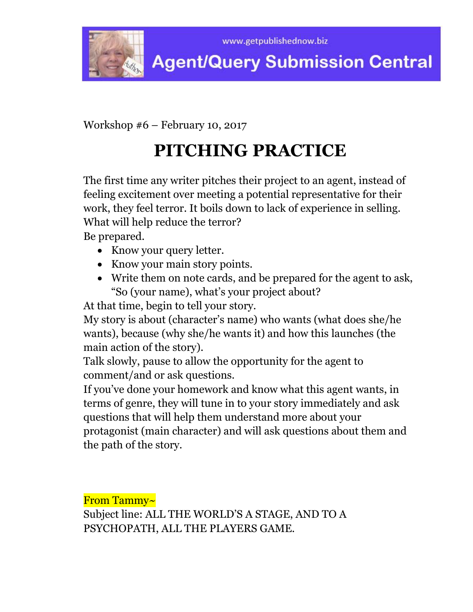

Workshop #6 – February 10, 2017

# **PITCHING PRACTICE**

The first time any writer pitches their project to an agent, instead of feeling excitement over meeting a potential representative for their work, they feel terror. It boils down to lack of experience in selling. What will help reduce the terror?

Be prepared.

- Know your query letter.
- Know your main story points.
- Write them on note cards, and be prepared for the agent to ask, "So (your name), what's your project about?

At that time, begin to tell your story.

My story is about (character's name) who wants (what does she/he wants), because (why she/he wants it) and how this launches (the main action of the story).

Talk slowly, pause to allow the opportunity for the agent to comment/and or ask questions.

If you've done your homework and know what this agent wants, in terms of genre, they will tune in to your story immediately and ask questions that will help them understand more about your

protagonist (main character) and will ask questions about them and the path of the story.

From Tammy~

Subject line: ALL THE WORLD'S A STAGE, AND TO A PSYCHOPATH, ALL THE PLAYERS GAME.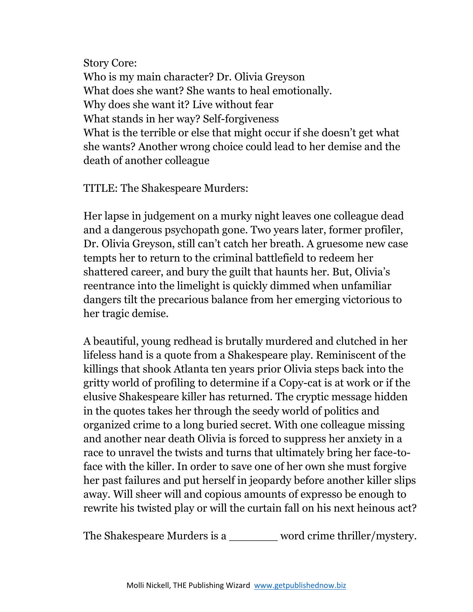Story Core: Who is my main character? Dr. Olivia Greyson What does she want? She wants to heal emotionally. Why does she want it? Live without fear What stands in her way? Self-forgiveness What is the terrible or else that might occur if she doesn't get what she wants? Another wrong choice could lead to her demise and the death of another colleague

TITLE: The Shakespeare Murders:

Her lapse in judgement on a murky night leaves one colleague dead and a dangerous psychopath gone. Two years later, former profiler, Dr. Olivia Greyson, still can't catch her breath. A gruesome new case tempts her to return to the criminal battlefield to redeem her shattered career, and bury the guilt that haunts her. But, Olivia's reentrance into the limelight is quickly dimmed when unfamiliar dangers tilt the precarious balance from her emerging victorious to her tragic demise.

A beautiful, young redhead is brutally murdered and clutched in her lifeless hand is a quote from a Shakespeare play. Reminiscent of the killings that shook Atlanta ten years prior Olivia steps back into the gritty world of profiling to determine if a Copy-cat is at work or if the elusive Shakespeare killer has returned. The cryptic message hidden in the quotes takes her through the seedy world of politics and organized crime to a long buried secret. With one colleague missing and another near death Olivia is forced to suppress her anxiety in a race to unravel the twists and turns that ultimately bring her face-toface with the killer. In order to save one of her own she must forgive her past failures and put herself in jeopardy before another killer slips away. Will sheer will and copious amounts of expresso be enough to rewrite his twisted play or will the curtain fall on his next heinous act?

The Shakespeare Murders is a \_\_\_\_\_\_\_ word crime thriller/mystery.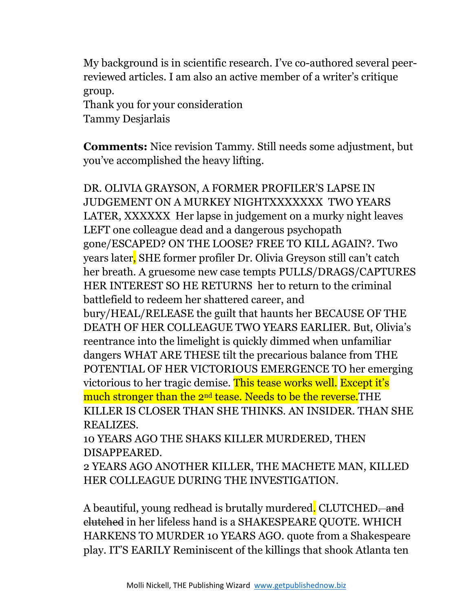My background is in scientific research. I've co-authored several peerreviewed articles. I am also an active member of a writer's critique group. Thank you for your consideration

Tammy Desjarlais

**Comments:** Nice revision Tammy. Still needs some adjustment, but you've accomplished the heavy lifting.

DR. OLIVIA GRAYSON, A FORMER PROFILER'S LAPSE IN JUDGEMENT ON A MURKEY NIGHTXXXXXXX TWO YEARS LATER, XXXXXX Her lapse in judgement on a murky night leaves LEFT one colleague dead and a dangerous psychopath gone/ESCAPED? ON THE LOOSE? FREE TO KILL AGAIN?. Two years later, SHE former profiler Dr. Olivia Greyson still can't catch her breath. A gruesome new case tempts PULLS/DRAGS/CAPTURES HER INTEREST SO HE RETURNS her to return to the criminal battlefield to redeem her shattered career, and bury/HEAL/RELEASE the guilt that haunts her BECAUSE OF THE DEATH OF HER COLLEAGUE TWO YEARS EARLIER. But, Olivia's reentrance into the limelight is quickly dimmed when unfamiliar dangers WHAT ARE THESE tilt the precarious balance from THE POTENTIAL OF HER VICTORIOUS EMERGENCE TO her emerging victorious to her tragic demise. This tease works well. Except it's much stronger than the 2<sup>nd</sup> tease. Needs to be the reverse. THE KILLER IS CLOSER THAN SHE THINKS. AN INSIDER. THAN SHE REALIZES.

10 YEARS AGO THE SHAKS KILLER MURDERED, THEN DISAPPEARED.

2 YEARS AGO ANOTHER KILLER, THE MACHETE MAN, KILLED HER COLLEAGUE DURING THE INVESTIGATION.

A beautiful, young redhead is brutally murdered. CLUTCHED. and clutched in her lifeless hand is a SHAKESPEARE QUOTE. WHICH HARKENS TO MURDER 10 YEARS AGO. quote from a Shakespeare play. IT'S EARILY Reminiscent of the killings that shook Atlanta ten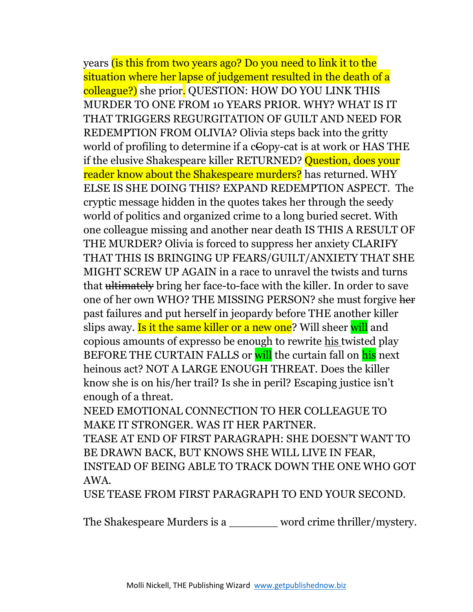years (is this from two years ago? Do you need to link it to the situation where her lapse of judgement resulted in the death of a colleague?) she prior. QUESTION: HOW DO YOU LINK THIS MURDER TO ONE FROM 10 YEARS PRIOR. WHY? WHAT IS IT THAT TRIGGERS REGURGITATION OF GUILT AND NEED FOR REDEMPTION FROM OLIVIA? Olivia steps back into the gritty world of profiling to determine if a cCopy-cat is at work or HAS THE if the elusive Shakespeare killer RETURNED? Question, does your reader know about the Shakespeare murders? has returned. WHY ELSE IS SHE DOING THIS? EXPAND REDEMPTION ASPECT. The cryptic message hidden in the quotes takes her through the seedy world of politics and organized crime to a long buried secret. With one colleague missing and another near death IS THIS A RESULT OF THE MURDER? Olivia is forced to suppress her anxiety CLARIFY THAT THIS IS BRINGING UP FEARS/GUILT/ANXIETY THAT SHE MIGHT SCREW UP AGAIN in a race to unravel the twists and turns that ultimately bring her face-to-face with the killer. In order to save one of her own WHO? THE MISSING PERSON? she must forgive her past failures and put herself in jeopardy before THE another killer slips away. Is it the same killer or a new one? Will sheer will and copious amounts of expresso be enough to rewrite his twisted play BEFORE THE CURTAIN FALLS or will the curtain fall on his next heinous act? NOT A LARGE ENOUGH THREAT. Does the killer know she is on his/her trail? Is she in peril? Escaping justice isn't enough of a threat.

NEED EMOTIONAL CONNECTION TO HER COLLEAGUE TO MAKE IT STRONGER. WAS IT HER PARTNER.

TEASE AT END OF FIRST PARAGRAPH: SHE DOESN'T WANT TO BE DRAWN BACK, BUT KNOWS SHE WILL LIVE IN FEAR, INSTEAD OF BEING ABLE TO TRACK DOWN THE ONE WHO GOT AWA.

USE TEASE FROM FIRST PARAGRAPH TO END YOUR SECOND.

The Shakespeare Murders is a word crime thriller/mystery.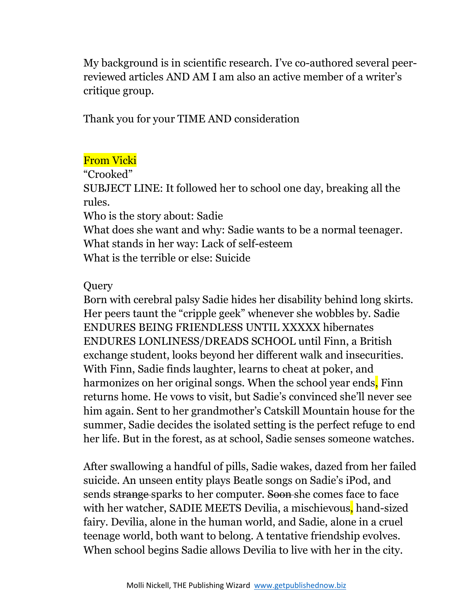My background is in scientific research. I've co-authored several peerreviewed articles AND AM I am also an active member of a writer's critique group.

Thank you for your TIME AND consideration

## From Vicki

"Crooked"

SUBJECT LINE: It followed her to school one day, breaking all the rules.

Who is the story about: Sadie

What does she want and why: Sadie wants to be a normal teenager. What stands in her way: Lack of self-esteem What is the terrible or else: Suicide

## **Query**

Born with cerebral palsy Sadie hides her disability behind long skirts. Her peers taunt the "cripple geek" whenever she wobbles by. Sadie ENDURES BEING FRIENDLESS UNTIL XXXXX hibernates ENDURES LONLINESS/DREADS SCHOOL until Finn, a British exchange student, looks beyond her different walk and insecurities. With Finn, Sadie finds laughter, learns to cheat at poker, and harmonizes on her original songs. When the school year ends. Finn returns home. He vows to visit, but Sadie's convinced she'll never see him again. Sent to her grandmother's Catskill Mountain house for the summer, Sadie decides the isolated setting is the perfect refuge to end her life. But in the forest, as at school, Sadie senses someone watches.

After swallowing a handful of pills, Sadie wakes, dazed from her failed suicide. An unseen entity plays Beatle songs on Sadie's iPod, and sends strange sparks to her computer. Soon she comes face to face with her watcher, SADIE MEETS Devilia, a mischievous, hand-sized fairy. Devilia, alone in the human world, and Sadie, alone in a cruel teenage world, both want to belong. A tentative friendship evolves. When school begins Sadie allows Devilia to live with her in the city.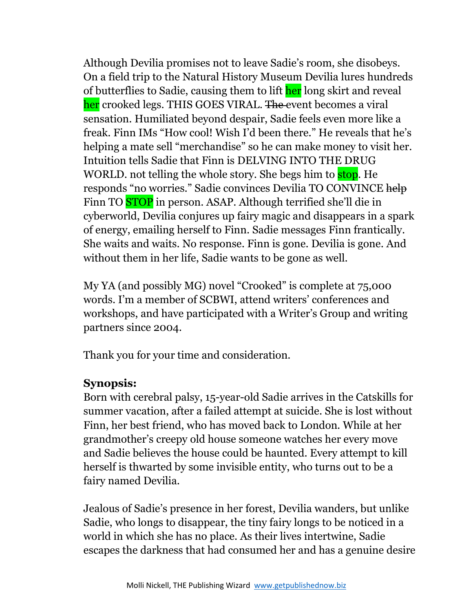Although Devilia promises not to leave Sadie's room, she disobeys. On a field trip to the Natural History Museum Devilia lures hundreds of butterflies to Sadie, causing them to lift her long skirt and reveal her crooked legs. THIS GOES VIRAL. The event becomes a viral sensation. Humiliated beyond despair, Sadie feels even more like a freak. Finn IMs "How cool! Wish I'd been there." He reveals that he's helping a mate sell "merchandise" so he can make money to visit her. Intuition tells Sadie that Finn is DELVING INTO THE DRUG WORLD, not telling the whole story. She begs him to **stop**. He responds "no worries." Sadie convinces Devilia TO CONVINCE help Finn TO **STOP** in person. ASAP. Although terrified she'll die in cyberworld, Devilia conjures up fairy magic and disappears in a spark of energy, emailing herself to Finn. Sadie messages Finn frantically. She waits and waits. No response. Finn is gone. Devilia is gone. And without them in her life, Sadie wants to be gone as well.

My YA (and possibly MG) novel "Crooked" is complete at 75,000 words. I'm a member of SCBWI, attend writers' conferences and workshops, and have participated with a Writer's Group and writing partners since 2004.

Thank you for your time and consideration.

## **Synopsis:**

Born with cerebral palsy, 15-year-old Sadie arrives in the Catskills for summer vacation, after a failed attempt at suicide. She is lost without Finn, her best friend, who has moved back to London. While at her grandmother's creepy old house someone watches her every move and Sadie believes the house could be haunted. Every attempt to kill herself is thwarted by some invisible entity, who turns out to be a fairy named Devilia.

Jealous of Sadie's presence in her forest, Devilia wanders, but unlike Sadie, who longs to disappear, the tiny fairy longs to be noticed in a world in which she has no place. As their lives intertwine, Sadie escapes the darkness that had consumed her and has a genuine desire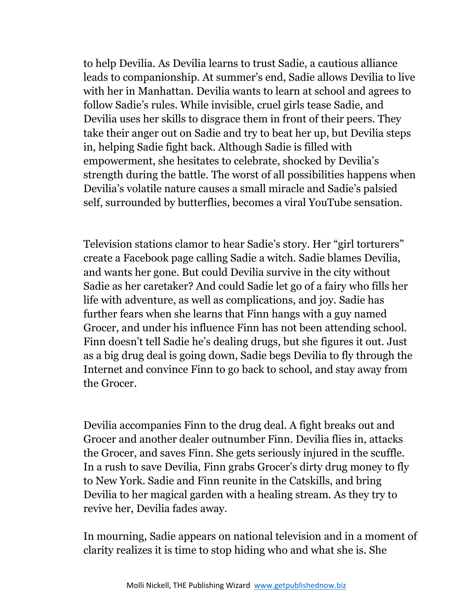to help Devilia. As Devilia learns to trust Sadie, a cautious alliance leads to companionship. At summer's end, Sadie allows Devilia to live with her in Manhattan. Devilia wants to learn at school and agrees to follow Sadie's rules. While invisible, cruel girls tease Sadie, and Devilia uses her skills to disgrace them in front of their peers. They take their anger out on Sadie and try to beat her up, but Devilia steps in, helping Sadie fight back. Although Sadie is filled with empowerment, she hesitates to celebrate, shocked by Devilia's strength during the battle. The worst of all possibilities happens when Devilia's volatile nature causes a small miracle and Sadie's palsied self, surrounded by butterflies, becomes a viral YouTube sensation.

Television stations clamor to hear Sadie's story. Her "girl torturers" create a Facebook page calling Sadie a witch. Sadie blames Devilia, and wants her gone. But could Devilia survive in the city without Sadie as her caretaker? And could Sadie let go of a fairy who fills her life with adventure, as well as complications, and joy. Sadie has further fears when she learns that Finn hangs with a guy named Grocer, and under his influence Finn has not been attending school. Finn doesn't tell Sadie he's dealing drugs, but she figures it out. Just as a big drug deal is going down, Sadie begs Devilia to fly through the Internet and convince Finn to go back to school, and stay away from the Grocer.

Devilia accompanies Finn to the drug deal. A fight breaks out and Grocer and another dealer outnumber Finn. Devilia flies in, attacks the Grocer, and saves Finn. She gets seriously injured in the scuffle. In a rush to save Devilia, Finn grabs Grocer's dirty drug money to fly to New York. Sadie and Finn reunite in the Catskills, and bring Devilia to her magical garden with a healing stream. As they try to revive her, Devilia fades away.

In mourning, Sadie appears on national television and in a moment of clarity realizes it is time to stop hiding who and what she is. She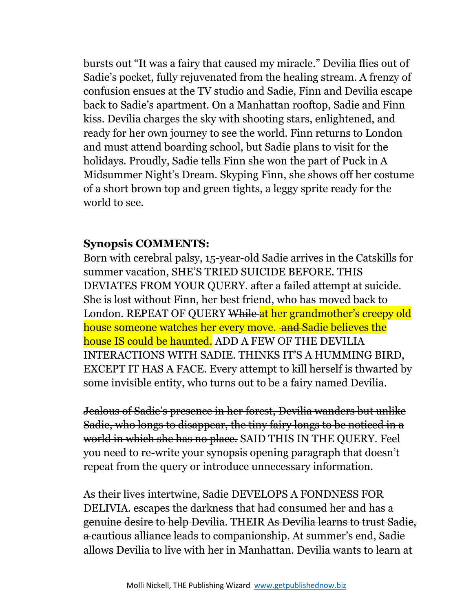bursts out "It was a fairy that caused my miracle." Devilia flies out of Sadie's pocket, fully rejuvenated from the healing stream. A frenzy of confusion ensues at the TV studio and Sadie, Finn and Devilia escape back to Sadie's apartment. On a Manhattan rooftop, Sadie and Finn kiss. Devilia charges the sky with shooting stars, enlightened, and ready for her own journey to see the world. Finn returns to London and must attend boarding school, but Sadie plans to visit for the holidays. Proudly, Sadie tells Finn she won the part of Puck in A Midsummer Night's Dream. Skyping Finn, she shows off her costume of a short brown top and green tights, a leggy sprite ready for the world to see.

#### **Synopsis COMMENTS:**

Born with cerebral palsy, 15-year-old Sadie arrives in the Catskills for summer vacation, SHE'S TRIED SUICIDE BEFORE. THIS DEVIATES FROM YOUR QUERY. after a failed attempt at suicide. She is lost without Finn, her best friend, who has moved back to London. REPEAT OF QUERY While at her grandmother's creepy old house someone watches her every move. and Sadie believes the house IS could be haunted. ADD A FEW OF THE DEVILIA INTERACTIONS WITH SADIE. THINKS IT'S A HUMMING BIRD, EXCEPT IT HAS A FACE. Every attempt to kill herself is thwarted by some invisible entity, who turns out to be a fairy named Devilia.

Jealous of Sadie's presence in her forest, Devilia wanders but unlike Sadie, who longs to disappear, the tiny fairy longs to be noticed in a world in which she has no place. SAID THIS IN THE QUERY. Feel you need to re-write your synopsis opening paragraph that doesn't repeat from the query or introduce unnecessary information.

As their lives intertwine, Sadie DEVELOPS A FONDNESS FOR DELIVIA. escapes the darkness that had consumed her and has a genuine desire to help Devilia. THEIR As Devilia learns to trust Sadie, a cautious alliance leads to companionship. At summer's end, Sadie allows Devilia to live with her in Manhattan. Devilia wants to learn at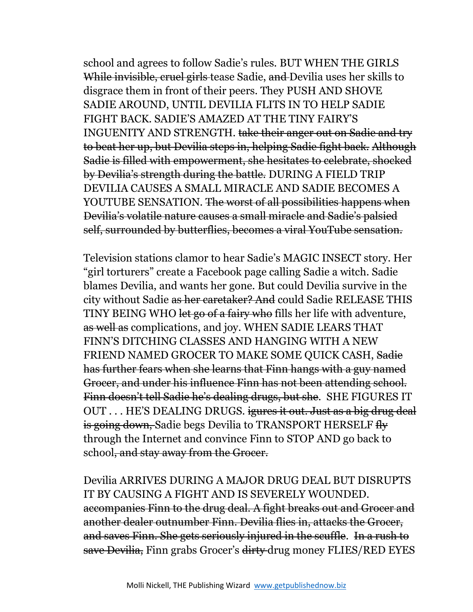school and agrees to follow Sadie's rules. BUT WHEN THE GIRLS While invisible, cruel girls tease Sadie, and Devilia uses her skills to disgrace them in front of their peers. They PUSH AND SHOVE SADIE AROUND, UNTIL DEVILIA FLITS IN TO HELP SADIE FIGHT BACK. SADIE'S AMAZED AT THE TINY FAIRY'S INGUENITY AND STRENGTH. take their anger out on Sadie and try to beat her up, but Devilia steps in, helping Sadie fight back. Although Sadie is filled with empowerment, she hesitates to celebrate, shocked by Devilia's strength during the battle. DURING A FIELD TRIP DEVILIA CAUSES A SMALL MIRACLE AND SADIE BECOMES A YOUTUBE SENSATION. The worst of all possibilities happens when Devilia's volatile nature causes a small miracle and Sadie's palsied self, surrounded by butterflies, becomes a viral YouTube sensation.

Television stations clamor to hear Sadie's MAGIC INSECT story. Her "girl torturers" create a Facebook page calling Sadie a witch. Sadie blames Devilia, and wants her gone. But could Devilia survive in the city without Sadie as her caretaker? And could Sadie RELEASE THIS TINY BEING WHO let go of a fairy who fills her life with adventure, as well as complications, and joy. WHEN SADIE LEARS THAT FINN'S DITCHING CLASSES AND HANGING WITH A NEW FRIEND NAMED GROCER TO MAKE SOME QUICK CASH, Sadie has further fears when she learns that Finn hangs with a guy named Grocer, and under his influence Finn has not been attending school. Finn doesn't tell Sadie he's dealing drugs, but she. SHE FIGURES IT OUT . . . HE'S DEALING DRUGS. igures it out. Just as a big drug deal is going down, Sadie begs Devilia to TRANSPORT HERSELF fly through the Internet and convince Finn to STOP AND go back to school, and stay away from the Grocer.

Devilia ARRIVES DURING A MAJOR DRUG DEAL BUT DISRUPTS IT BY CAUSING A FIGHT AND IS SEVERELY WOUNDED. accompanies Finn to the drug deal. A fight breaks out and Grocer and another dealer outnumber Finn. Devilia flies in, attacks the Grocer, and saves Finn. She gets seriously injured in the scuffle. In a rush to save Devilia, Finn grabs Grocer's dirty drug money FLIES/RED EYES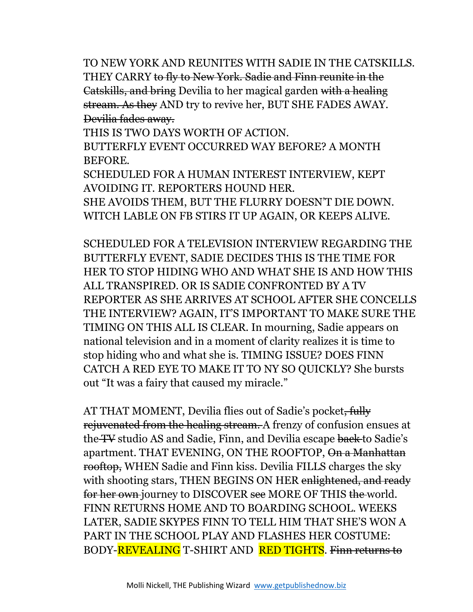TO NEW YORK AND REUNITES WITH SADIE IN THE CATSKILLS. THEY CARRY to fly to New York. Sadie and Finn reunite in the Catskills, and bring Devilia to her magical garden with a healing stream. As they AND try to revive her, BUT SHE FADES AWAY. Devilia fades away.

THIS IS TWO DAYS WORTH OF ACTION.

BUTTERFLY EVENT OCCURRED WAY BEFORE? A MONTH BEFORE.

SCHEDULED FOR A HUMAN INTEREST INTERVIEW, KEPT AVOIDING IT. REPORTERS HOUND HER.

SHE AVOIDS THEM, BUT THE FLURRY DOESN'T DIE DOWN. WITCH LABLE ON FB STIRS IT UP AGAIN, OR KEEPS ALIVE.

SCHEDULED FOR A TELEVISION INTERVIEW REGARDING THE BUTTERFLY EVENT, SADIE DECIDES THIS IS THE TIME FOR HER TO STOP HIDING WHO AND WHAT SHE IS AND HOW THIS ALL TRANSPIRED. OR IS SADIE CONFRONTED BY A TV REPORTER AS SHE ARRIVES AT SCHOOL AFTER SHE CONCELLS THE INTERVIEW? AGAIN, IT'S IMPORTANT TO MAKE SURE THE TIMING ON THIS ALL IS CLEAR. In mourning, Sadie appears on national television and in a moment of clarity realizes it is time to stop hiding who and what she is. TIMING ISSUE? DOES FINN CATCH A RED EYE TO MAKE IT TO NY SO QUICKLY? She bursts out "It was a fairy that caused my miracle."

AT THAT MOMENT, Devilia flies out of Sadie's pocket, fully rejuvenated from the healing stream. A frenzy of confusion ensues at the TV studio AS and Sadie, Finn, and Devilia escape back to Sadie's apartment. THAT EVENING, ON THE ROOFTOP, On a Manhattan rooftop, WHEN Sadie and Finn kiss. Devilia FILLS charges the sky with shooting stars, THEN BEGINS ON HER enlightened, and ready for her own journey to DISCOVER see MORE OF THIS the world. FINN RETURNS HOME AND TO BOARDING SCHOOL. WEEKS LATER, SADIE SKYPES FINN TO TELL HIM THAT SHE'S WON A PART IN THE SCHOOL PLAY AND FLASHES HER COSTUME: BODY-**REVEALING** T-SHIRT AND **RED TIGHTS**. Finn returns to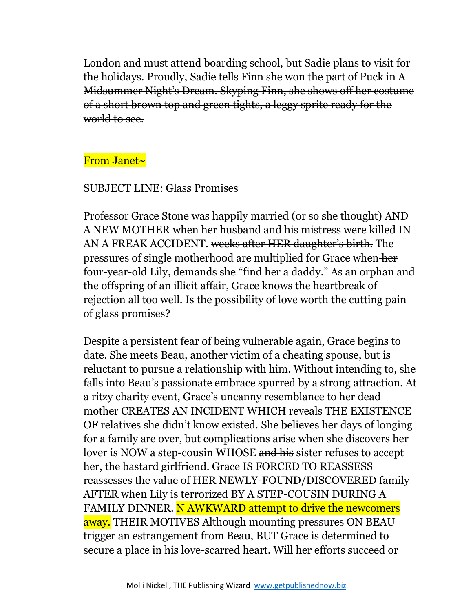London and must attend boarding school, but Sadie plans to visit for the holidays. Proudly, Sadie tells Finn she won the part of Puck in A Midsummer Night's Dream. Skyping Finn, she shows off her costume of a short brown top and green tights, a leggy sprite ready for the world to see.

### From Janet~

#### SUBJECT LINE: Glass Promises

Professor Grace Stone was happily married (or so she thought) AND A NEW MOTHER when her husband and his mistress were killed IN AN A FREAK ACCIDENT. weeks after HER daughter's birth. The pressures of single motherhood are multiplied for Grace when her four-year-old Lily, demands she "find her a daddy." As an orphan and the offspring of an illicit affair, Grace knows the heartbreak of rejection all too well. Is the possibility of love worth the cutting pain of glass promises?

Despite a persistent fear of being vulnerable again, Grace begins to date. She meets Beau, another victim of a cheating spouse, but is reluctant to pursue a relationship with him. Without intending to, she falls into Beau's passionate embrace spurred by a strong attraction. At a ritzy charity event, Grace's uncanny resemblance to her dead mother CREATES AN INCIDENT WHICH reveals THE EXISTENCE OF relatives she didn't know existed. She believes her days of longing for a family are over, but complications arise when she discovers her lover is NOW a step-cousin WHOSE and his sister refuses to accept her, the bastard girlfriend. Grace IS FORCED TO REASSESS reassesses the value of HER NEWLY-FOUND/DISCOVERED family AFTER when Lily is terrorized BY A STEP-COUSIN DURING A FAMILY DINNER. N AWKWARD attempt to drive the newcomers away. THEIR MOTIVES Although mounting pressures ON BEAU trigger an estrangement from Beau, BUT Grace is determined to secure a place in his love-scarred heart. Will her efforts succeed or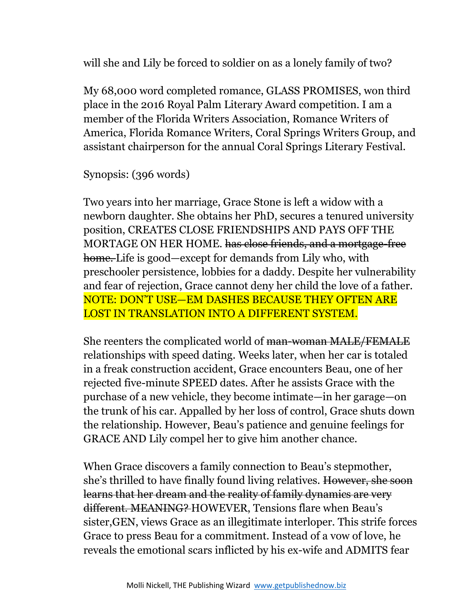will she and Lily be forced to soldier on as a lonely family of two?

My 68,000 word completed romance, GLASS PROMISES, won third place in the 2016 Royal Palm Literary Award competition. I am a member of the Florida Writers Association, Romance Writers of America, Florida Romance Writers, Coral Springs Writers Group, and assistant chairperson for the annual Coral Springs Literary Festival.

Synopsis: (396 words)

Two years into her marriage, Grace Stone is left a widow with a newborn daughter. She obtains her PhD, secures a tenured university position, CREATES CLOSE FRIENDSHIPS AND PAYS OFF THE MORTAGE ON HER HOME. has close friends, and a mortgage-free home. Life is good—except for demands from Lily who, with preschooler persistence, lobbies for a daddy. Despite her vulnerability and fear of rejection, Grace cannot deny her child the love of a father. NOTE: DON'T USE—EM DASHES BECAUSE THEY OFTEN ARE LOST IN TRANSLATION INTO A DIFFERENT SYSTEM.

She reenters the complicated world of man-woman MALE/FEMALE relationships with speed dating. Weeks later, when her car is totaled in a freak construction accident, Grace encounters Beau, one of her rejected five-minute SPEED dates. After he assists Grace with the purchase of a new vehicle, they become intimate—in her garage—on the trunk of his car. Appalled by her loss of control, Grace shuts down the relationship. However, Beau's patience and genuine feelings for GRACE AND Lily compel her to give him another chance.

When Grace discovers a family connection to Beau's stepmother, she's thrilled to have finally found living relatives. However, she soon learns that her dream and the reality of family dynamics are very different. MEANING? HOWEVER, Tensions flare when Beau's sister,GEN, views Grace as an illegitimate interloper. This strife forces Grace to press Beau for a commitment. Instead of a vow of love, he reveals the emotional scars inflicted by his ex-wife and ADMITS fear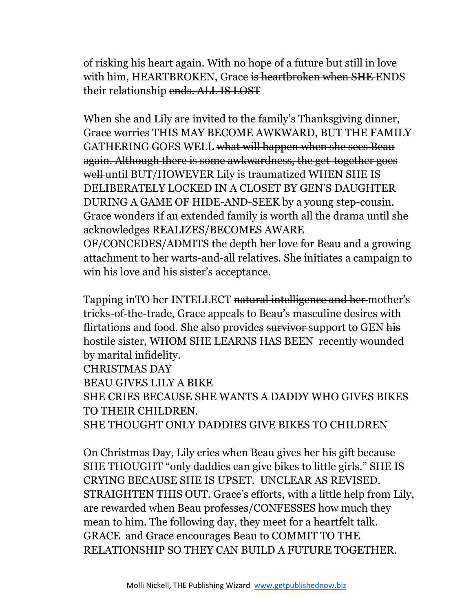of risking his heart again. With no hope of a future but still in love with him, HEARTBROKEN, Grace is heartbroken when SHE ENDS their relationship ends. ALL IS LOST

When she and Lily are invited to the family's Thanksgiving dinner, Grace worries THIS MAY BECOME AWKWARD, BUT THE FAMILY GATHERING GOES WELL what will happen when she sees Beau again. Although there is some awkwardness, the get-together goes well until BUT/HOWEVER Lily is traumatized WHEN SHE IS DELIBERATELY LOCKED IN A CLOSET BY GEN'S DAUGHTER DURING A GAME OF HIDE-AND-SEEK by a young step-cousin. Grace wonders if an extended family is worth all the drama until she acknowledges REALIZES/BECOMES AWARE OF/CONCEDES/ADMITS the depth her love for Beau and a growing attachment to her warts-and-all relatives. She initiates a campaign to win his love and his sister's acceptance.

Tapping inTO her INTELLECT natural intelligence and her mother's tricks-of-the-trade, Grace appeals to Beau's masculine desires with flirtations and food. She also provides survivor support to GEN his hostile sister, WHOM SHE LEARNS HAS BEEN recently wounded by marital infidelity. CHRISTMAS DAY BEAU GIVES LILY A BIKE SHE CRIES BECAUSE SHE WANTS A DADDY WHO GIVES BIKES TO THEIR CHILDREN. SHE THOUGHT ONLY DADDIES GIVE BIKES TO CHILDREN

On Christmas Day, Lily cries when Beau gives her his gift because SHE THOUGHT "only daddies can give bikes to little girls." SHE IS CRYING BECAUSE SHE IS UPSET. UNCLEAR AS REVISED. STRAIGHTEN THIS OUT. Grace's efforts, with a little help from Lily, are rewarded when Beau professes/CONFESSES how much they mean to him. The following day, they meet for a heartfelt talk. GRACE and Grace encourages Beau to COMMIT TO THE RELATIONSHIP SO THEY CAN BUILD A FUTURE TOGETHER.